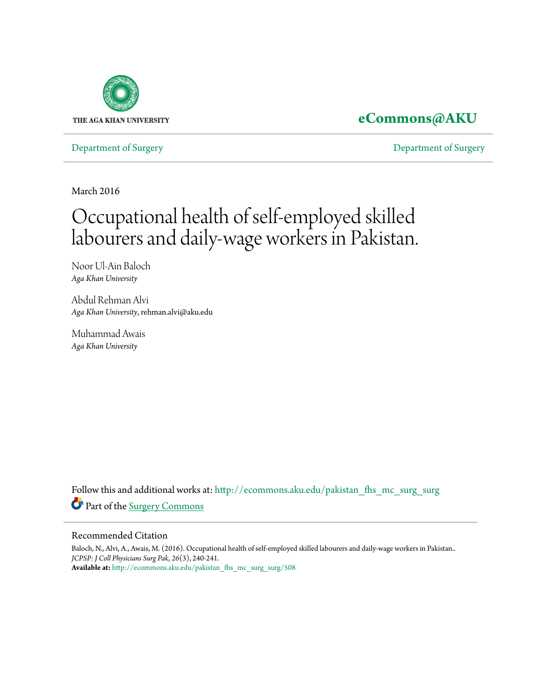

### **[eCommons@AKU](http://ecommons.aku.edu?utm_source=ecommons.aku.edu%2Fpakistan_fhs_mc_surg_surg%2F508&utm_medium=PDF&utm_campaign=PDFCoverPages)**

[Department of Surgery](http://ecommons.aku.edu/pakistan_fhs_mc_surg_surg?utm_source=ecommons.aku.edu%2Fpakistan_fhs_mc_surg_surg%2F508&utm_medium=PDF&utm_campaign=PDFCoverPages) [Department of Surgery](http://ecommons.aku.edu/pakistan_fhs_mc_surg?utm_source=ecommons.aku.edu%2Fpakistan_fhs_mc_surg_surg%2F508&utm_medium=PDF&utm_campaign=PDFCoverPages)

March 2016

# Occupational health of self-employed skilled labourers and daily-wage workers in Pakistan.

Noor Ul-Ain Baloch *Aga Khan University*

Abdul Rehman Alvi *Aga Khan University*, rehman.alvi@aku.edu

Muhammad Awais *Aga Khan University*

Follow this and additional works at: [http://ecommons.aku.edu/pakistan\\_fhs\\_mc\\_surg\\_surg](http://ecommons.aku.edu/pakistan_fhs_mc_surg_surg?utm_source=ecommons.aku.edu%2Fpakistan_fhs_mc_surg_surg%2F508&utm_medium=PDF&utm_campaign=PDFCoverPages) Part of the [Surgery Commons](http://network.bepress.com/hgg/discipline/706?utm_source=ecommons.aku.edu%2Fpakistan_fhs_mc_surg_surg%2F508&utm_medium=PDF&utm_campaign=PDFCoverPages)

### Recommended Citation

Baloch, N., Alvi, A., Awais, M. (2016). Occupational health of self-employed skilled labourers and daily-wage workers in Pakistan.. *JCPSP: J Coll Physicians Surg Pak, 26*(3), 240-241. **Available at:** [http://ecommons.aku.edu/pakistan\\_fhs\\_mc\\_surg\\_surg/508](http://ecommons.aku.edu/pakistan_fhs_mc_surg_surg/508)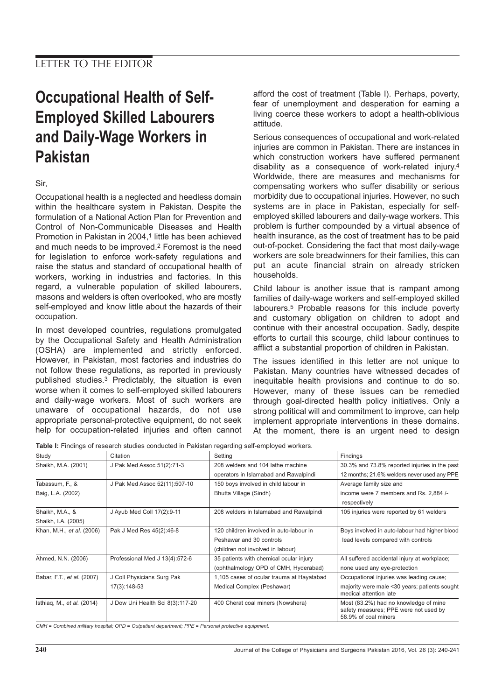## **Occupational Health of Self-Employed Skilled Labourers and Daily-Wage Workers in Pakistan**

### Sir,

Occupational health is a neglected and heedless domain within the healthcare system in Pakistan. Despite the formulation of a National Action Plan for Prevention and Control of Non-Communicable Diseases and Health Promotion in Pakistan in 2004,<sup>1</sup> little has been achieved and much needs to be improved.2 Foremost is the need for legislation to enforce work-safety regulations and raise the status and standard of occupational health of workers, working in industries and factories. In this regard, a vulnerable population of skilled labourers, masons and welders is often overlooked, who are mostly self-employed and know little about the hazards of their occupation.

In most developed countries, regulations promulgated by the Occupational Safety and Health Administration (OSHA) are implemented and strictly enforced. However, in Pakistan, most factories and industries do not follow these regulations, as reported in previously published studies.3 Predictably, the situation is even worse when it comes to self-employed skilled labourers and daily-wage workers. Most of such workers are unaware of occupational hazards, do not use appropriate personal-protective equipment, do not seek help for occupation-related injuries and often cannot

afford the cost of treatment (Table I). Perhaps, poverty, fear of unemployment and desperation for earning a living coerce these workers to adopt a health-oblivious attitude.

Serious consequences of occupational and work-related injuries are common in Pakistan. There are instances in which construction workers have suffered permanent disability as a consequence of work-related injury.4 Worldwide, there are measures and mechanisms for compensating workers who suffer disability or serious morbidity due to occupational injuries. However, no such systems are in place in Pakistan, especially for selfemployed skilled labourers and daily-wage workers. This problem is further compounded by a virtual absence of health insurance, as the cost of treatment has to be paid out-of-pocket. Considering the fact that most daily-wage workers are sole breadwinners for their families, this can put an acute financial strain on already stricken households.

Child labour is another issue that is rampant among families of daily-wage workers and self-employed skilled labourers.5 Probable reasons for this include poverty and customary obligation on children to adopt and continue with their ancestral occupation. Sadly, despite efforts to curtail this scourge, child labour continues to afflict a substantial proportion of children in Pakistan.

The issues identified in this letter are not unique to Pakistan. Many countries have witnessed decades of inequitable health provisions and continue to do so. However, many of these issues can be remedied through goal-directed health policy initiatives. Only a strong political will and commitment to improve, can help implement appropriate interventions in these domains. At the moment, there is an urgent need to design

**Table I:** Findings of research studies conducted in Pakistan regarding self-employed workers.

| Study                      | Citation                         | Setting                                   | Findings                                                                                               |
|----------------------------|----------------------------------|-------------------------------------------|--------------------------------------------------------------------------------------------------------|
| Shaikh, M.A. (2001)        | J Pak Med Assoc 51(2):71-3       | 208 welders and 104 lathe machine         | 30.3% and 73.8% reported injuries in the past                                                          |
|                            |                                  | operators in Islamabad and Rawalpindi     | 12 months; 21.6% welders never used any PPE                                                            |
| Tabassum, F., &            | J Pak Med Assoc 52(11):507-10    | 150 boys involved in child labour in      | Average family size and                                                                                |
| Baig, L.A. (2002)          |                                  | Bhutta Village (Sindh)                    | income were 7 members and Rs. 2,884 /-<br>respectively                                                 |
| Shaikh, M.A., &            | J Ayub Med Coll 17(2):9-11       | 208 welders in Islamabad and Rawalpindi   | 105 injuries were reported by 61 welders                                                               |
| Shaikh, I.A. (2005)        |                                  |                                           |                                                                                                        |
| Khan, M.H., et al. (2006)  | Pak J Med Res 45(2):46-8         | 120 children involved in auto-labour in   | Boys involved in auto-labour had higher blood                                                          |
|                            |                                  | Peshawar and 30 controls                  | lead levels compared with controls                                                                     |
|                            |                                  | (children not involved in labour)         |                                                                                                        |
| Ahmed, N.N. (2006)         | Professional Med J 13(4):572-6   | 35 patients with chemical ocular injury   | All suffered accidental injury at workplace;                                                           |
|                            |                                  | (ophthalmology OPD of CMH, Hyderabad)     | none used any eye-protection                                                                           |
| Babar, F.T., et al. (2007) | J Coll Physicians Surg Pak       | 1,105 cases of ocular trauma at Hayatabad | Occupational injuries was leading cause;                                                               |
|                            | 17(3):148-53                     | Medical Complex (Peshawar)                | majority were male <30 years; patients sought<br>medical attention late                                |
| Isthiag, M., et al. (2014) | J Dow Uni Health Sci 8(3):117-20 | 400 Cherat coal miners (Nowshera)         | Most (83.2%) had no knowledge of mine<br>safety measures; PPE were not used by<br>58.9% of coal miners |

CMH = Combined military hospital; OPD = Outpatient department; PPE = Personal protective equipment.